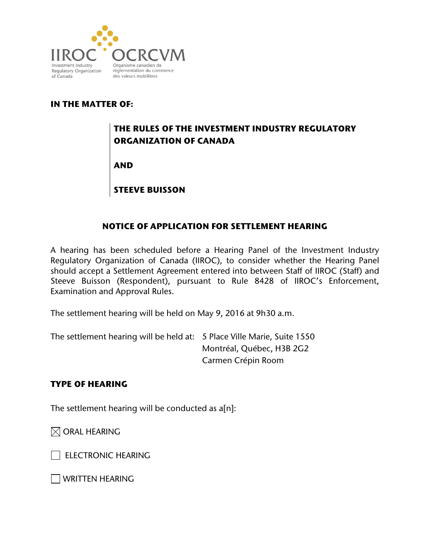

## **IN THE MATTER OF:**

# **THE RULES OF THE INVESTMENT INDUSTRY REGULATORY ORGANIZATION OF CANADA**

**AND**

**STEEVE BUISSON**

### **NOTICE OF APPLICATION FOR SETTLEMENT HEARING**

A hearing has been scheduled before a Hearing Panel of the Investment Industry Regulatory Organization of Canada (IIROC), to consider whether the Hearing Panel should accept a Settlement Agreement entered into between Staff of IIROC (Staff) and Steeve Buisson (Respondent), pursuant to Rule 8428 of IIROC's Enforcement, Examination and Approval Rules.

The settlement hearing will be held on May 9, 2016 at 9h30 a.m.

The settlement hearing will be held at: 5 Place Ville Marie, Suite 1550 Montréal, Québec, H3B 2G2 Carmen Crépin Room

#### **TYPE OF HEARING**

The settlement hearing will be conducted as a[n]:

 $\boxtimes$  ORAL HEARING

ELECTRONIC HEARING

WRITTEN HEARING